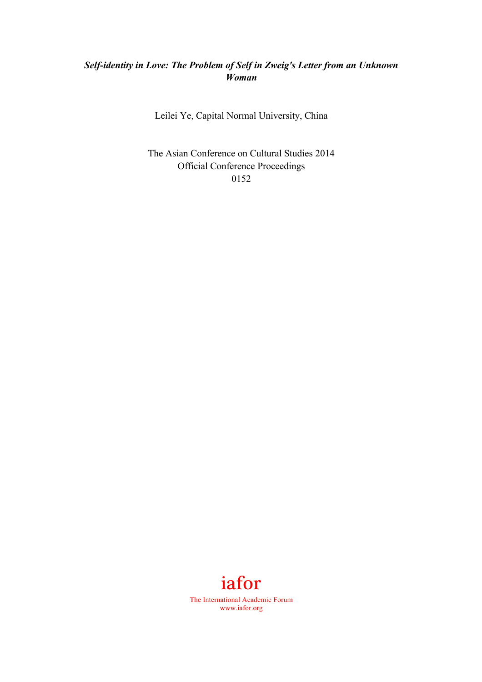## *Self-identity in Love: The Problem of Self in Zweig's Letter from an Unknown Woman*

Leilei Ye, Capital Normal University, China

The Asian Conference on Cultural Studies 2014 Official Conference Proceedings 0152

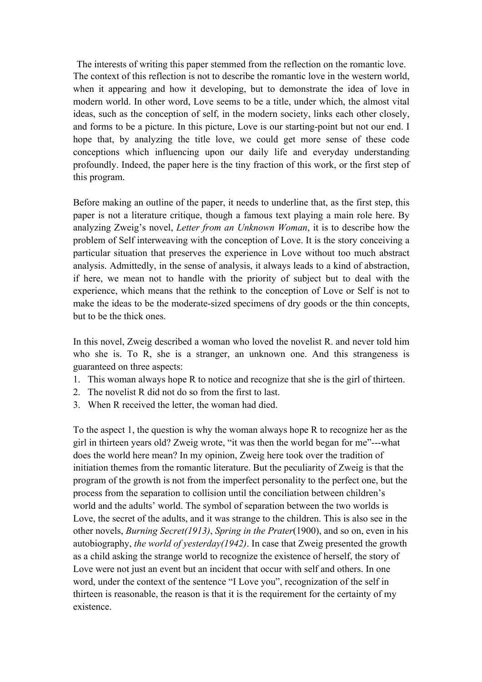The interests of writing this paper stemmed from the reflection on the romantic love. The context of this reflection is not to describe the romantic love in the western world, when it appearing and how it developing, but to demonstrate the idea of love in modern world. In other word, Love seems to be a title, under which, the almost vital ideas, such as the conception of self, in the modern society, links each other closely, and forms to be a picture. In this picture, Love is our starting-point but not our end. I hope that, by analyzing the title love, we could get more sense of these code conceptions which influencing upon our daily life and everyday understanding profoundly. Indeed, the paper here is the tiny fraction of this work, or the first step of this program.

Before making an outline of the paper, it needs to underline that, as the first step, this paper is not a literature critique, though a famous text playing a main role here. By analyzing Zweig's novel, *Letter from an Unknown Woman*, it is to describe how the problem of Self interweaving with the conception of Love. It is the story conceiving a particular situation that preserves the experience in Love without too much abstract analysis. Admittedly, in the sense of analysis, it always leads to a kind of abstraction, if here, we mean not to handle with the priority of subject but to deal with the experience, which means that the rethink to the conception of Love or Self is not to make the ideas to be the moderate-sized specimens of dry goods or the thin concepts, but to be the thick ones.

In this novel, Zweig described a woman who loved the novelist R. and never told him who she is. To R, she is a stranger, an unknown one. And this strangeness is guaranteed on three aspects:

- 1. This woman always hope R to notice and recognize that she is the girl of thirteen.
- 2. The novelist R did not do so from the first to last.
- 3. When R received the letter, the woman had died.

To the aspect 1, the question is why the woman always hope R to recognize her as the girl in thirteen years old? Zweig wrote, "it was then the world began for me"---what does the world here mean? In my opinion, Zweig here took over the tradition of initiation themes from the romantic literature. But the peculiarity of Zweig is that the program of the growth is not from the imperfect personality to the perfect one, but the process from the separation to collision until the conciliation between children's world and the adults' world. The symbol of separation between the two worlds is Love, the secret of the adults, and it was strange to the children. This is also see in the other novels, *Burning Secret(1913)*, *Spring in the Prater*(1900), and so on, even in his autobiography, *the world of yesterday(1942)*. In case that Zweig presented the growth as a child asking the strange world to recognize the existence of herself, the story of Love were not just an event but an incident that occur with self and others. In one word, under the context of the sentence "I Love you", recognization of the self in thirteen is reasonable, the reason is that it is the requirement for the certainty of my existence.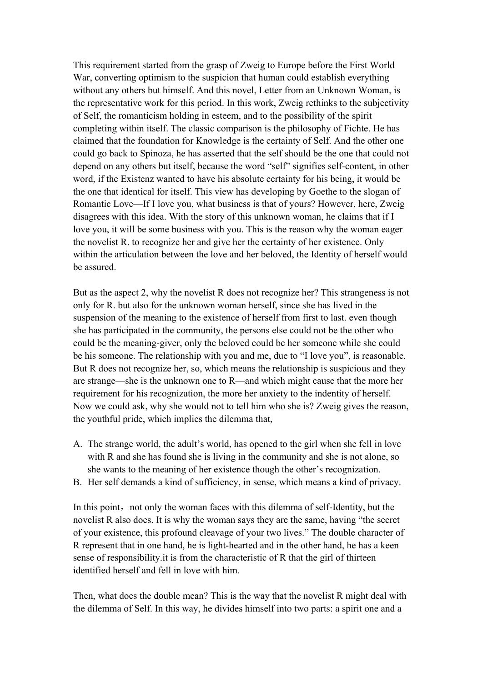This requirement started from the grasp of Zweig to Europe before the First World War, converting optimism to the suspicion that human could establish everything without any others but himself. And this novel, Letter from an Unknown Woman, is the representative work for this period. In this work, Zweig rethinks to the subjectivity of Self, the romanticism holding in esteem, and to the possibility of the spirit completing within itself. The classic comparison is the philosophy of Fichte. He has claimed that the foundation for Knowledge is the certainty of Self. And the other one could go back to Spinoza, he has asserted that the self should be the one that could not depend on any others but itself, because the word "self" signifies self-content, in other word, if the Existenz wanted to have his absolute certainty for his being, it would be the one that identical for itself. This view has developing by Goethe to the slogan of Romantic Love—If I love you, what business is that of yours? However, here, Zweig disagrees with this idea. With the story of this unknown woman, he claims that if I love you, it will be some business with you. This is the reason why the woman eager the novelist R. to recognize her and give her the certainty of her existence. Only within the articulation between the love and her beloved, the Identity of herself would be assured.

But as the aspect 2, why the novelist R does not recognize her? This strangeness is not only for R. but also for the unknown woman herself, since she has lived in the suspension of the meaning to the existence of herself from first to last. even though she has participated in the community, the persons else could not be the other who could be the meaning-giver, only the beloved could be her someone while she could be his someone. The relationship with you and me, due to "I love you", is reasonable. But R does not recognize her, so, which means the relationship is suspicious and they are strange—she is the unknown one to R—and which might cause that the more her requirement for his recognization, the more her anxiety to the indentity of herself. Now we could ask, why she would not to tell him who she is? Zweig gives the reason, the youthful pride, which implies the dilemma that,

- A. The strange world, the adult's world, has opened to the girl when she fell in love with R and she has found she is living in the community and she is not alone, so she wants to the meaning of her existence though the other's recognization.
- B. Her self demands a kind of sufficiency, in sense, which means a kind of privacy.

In this point, not only the woman faces with this dilemma of self-Identity, but the novelist R also does. It is why the woman says they are the same, having "the secret of your existence, this profound cleavage of your two lives." The double character of R represent that in one hand, he is light-hearted and in the other hand, he has a keen sense of responsibility.it is from the characteristic of R that the girl of thirteen identified herself and fell in love with him.

Then, what does the double mean? This is the way that the novelist R might deal with the dilemma of Self. In this way, he divides himself into two parts: a spirit one and a